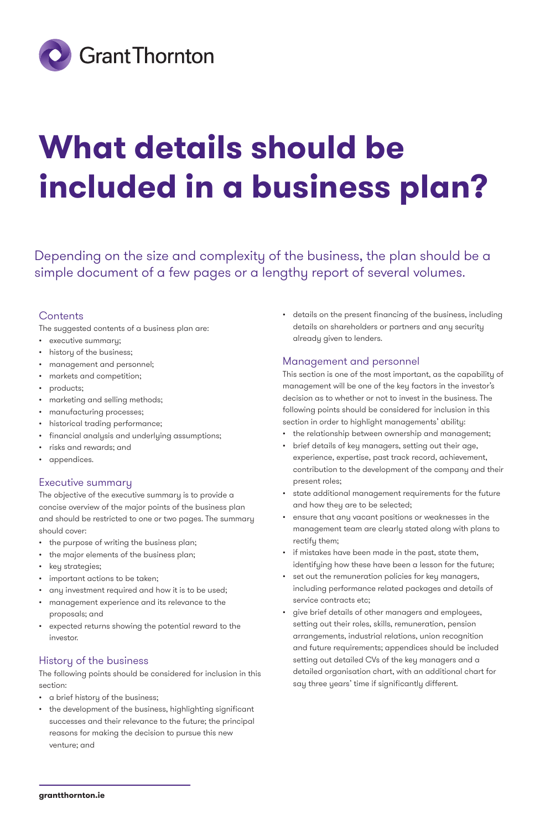

# **What details should be included in a business plan?**

Depending on the size and complexity of the business, the plan should be a simple document of a few pages or a lengthy report of several volumes.

# **Contents**

The suggested contents of a business plan are:

- executive summary;
- history of the business;
- management and personnel;
- markets and competition;
- products;
- marketing and selling methods;
- manufacturing processes;
- historical trading performance;
- financial analysis and underlying assumptions;
- risks and rewards; and
- appendices.

# Executive summary

The objective of the executive summary is to provide a concise overview of the major points of the business plan and should be restricted to one or two pages. The summary should cover:

- the purpose of writing the business plan;
- the major elements of the business plan;
- key strategies;
- important actions to be taken;
- any investment required and how it is to be used;
- management experience and its relevance to the proposals; and
- expected returns showing the potential reward to the investor.

# History of the business

The following points should be considered for inclusion in this section:

- a brief history of the business;
- the development of the business, highlighting significant successes and their relevance to the future; the principal reasons for making the decision to pursue this new venture; and

• details on the present financing of the business, including details on shareholders or partners and any security already given to lenders.

## Management and personnel

This section is one of the most important, as the capability of management will be one of the key factors in the investor's decision as to whether or not to invest in the business. The following points should be considered for inclusion in this section in order to highlight managements' ability:

- the relationship between ownership and management;
- brief details of key managers, setting out their age, experience, expertise, past track record, achievement, contribution to the development of the company and their present roles;
- state additional management requirements for the future and how they are to be selected;
- ensure that any vacant positions or weaknesses in the management team are clearly stated along with plans to rectify them;
- if mistakes have been made in the past, state them, identifying how these have been a lesson for the future;
- set out the remuneration policies for key managers, including performance related packages and details of service contracts etc;
- give brief details of other managers and employees, setting out their roles, skills, remuneration, pension arrangements, industrial relations, union recognition and future requirements; appendices should be included setting out detailed CVs of the key managers and a detailed organisation chart, with an additional chart for say three years' time if significantly different.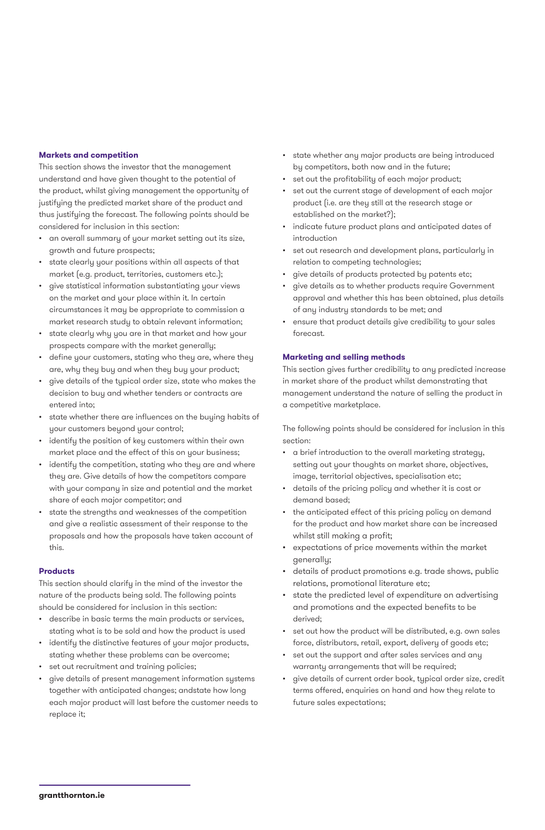### **Markets and competition**

This section shows the investor that the management understand and have given thought to the potential of the product, whilst giving management the opportunity of justifying the predicted market share of the product and thus justifying the forecast. The following points should be considered for inclusion in this section:

- an overall summary of your market setting out its size, growth and future prospects;
- state clearly your positions within all aspects of that market (e.g. product, territories, customers etc.);
- give statistical information substantiating your views on the market and your place within it. In certain circumstances it may be appropriate to commission a market research study to obtain relevant information;
- state clearly why you are in that market and how your prospects compare with the market generally;
- define your customers, stating who they are, where they are, why they buy and when they buy your product;
- give details of the typical order size, state who makes the decision to buy and whether tenders or contracts are entered into;
- state whether there are influences on the buying habits of your customers beyond your control;
- identify the position of key customers within their own market place and the effect of this on your business;
- identify the competition, stating who they are and where they are. Give details of how the competitors compare with your company in size and potential and the market share of each major competitor; and
- state the strengths and weaknesses of the competition and give a realistic assessment of their response to the proposals and how the proposals have taken account of this.

#### **Products**

This section should clarify in the mind of the investor the nature of the products being sold. The following points should be considered for inclusion in this section:

- describe in basic terms the main products or services, stating what is to be sold and how the product is used
- identify the distinctive features of your major products, stating whether these problems can be overcome;
- set out recruitment and training policies;
- give details of present management information systems together with anticipated changes; andstate how long each major product will last before the customer needs to replace it;
- state whether any major products are being introduced by competitors, both now and in the future;
- set out the profitability of each major product;
- set out the current stage of development of each major product (i.e. are they still at the research stage or established on the market?);
- indicate future product plans and anticipated dates of introduction
- set out research and development plans, particularly in relation to competing technologies;
- give details of products protected by patents etc;
- give details as to whether products require Government approval and whether this has been obtained, plus details of any industry standards to be met; and
- ensure that product details give credibility to your sales forecast.

#### **Marketing and selling methods**

This section gives further credibility to any predicted increase in market share of the product whilst demonstrating that management understand the nature of selling the product in a competitive marketplace.

The following points should be considered for inclusion in this section:

- a brief introduction to the overall marketing strategy, setting out your thoughts on market share, objectives, image, territorial objectives, specialisation etc;
- details of the pricing policy and whether it is cost or demand based;
- the anticipated effect of this pricing policy on demand for the product and how market share can be increased whilst still making a profit;
- expectations of price movements within the market generally;
- details of product promotions e.g. trade shows, public relations, promotional literature etc;
- state the predicted level of expenditure on advertising and promotions and the expected benefits to be derived;
- set out how the product will be distributed, e.g. own sales force, distributors, retail, export, delivery of goods etc;
- set out the support and after sales services and any warranty arrangements that will be required;
- give details of current order book, typical order size, credit terms offered, enquiries on hand and how they relate to future sales expectations;